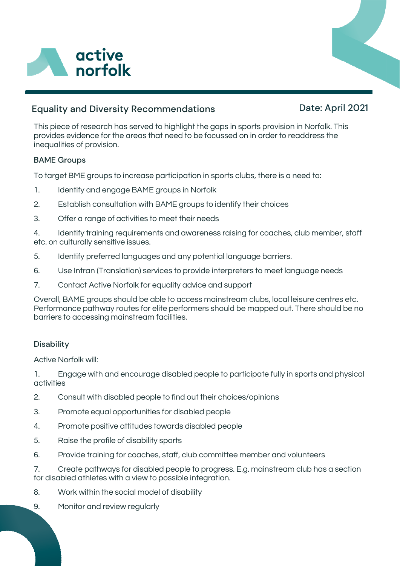

## Equality and Diversity Recommendations

# Date: April 2021

This piece of research has served to highlight the gaps in sports provision in Norfolk. This provides evidence for the areas that need to be focussed on in order to readdress the inequalities of provision.

#### BAME Groups

To target BME groups to increase participation in sports clubs, there is a need to:

- 1. Identify and engage BAME groups in Norfolk
- 2. Establish consultation with BAME groups to identify their choices
- 3. Offer a range of activities to meet their needs

4. Identify training requirements and awareness raising for coaches, club member, staff etc. on culturally sensitive issues.

- 5. Identify preferred languages and any potential language barriers.
- 6. Use Intran (Translation) services to provide interpreters to meet language needs
- 7. Contact Active Norfolk for equality advice and support

Overall, BAME groups should be able to access mainstream clubs, local leisure centres etc. Performance pathway routes for elite performers should be mapped out. There should be no barriers to accessing mainstream facilities.

#### **Disability**

Active Norfolk will:

1. Engage with and encourage disabled people to participate fully in sports and physical activities

- 2. Consult with disabled people to find out their choices/opinions
- 3. Promote equal opportunities for disabled people
- 4. Promote positive attitudes towards disabled people
- 5. Raise the profile of disability sports
- 6. Provide training for coaches, staff, club committee member and volunteers

7. Create pathways for disabled people to progress. E.g. mainstream club has a section for disabled athletes with a view to possible integration.

- 8. Work within the social model of disability
- 9. Monitor and review regularly